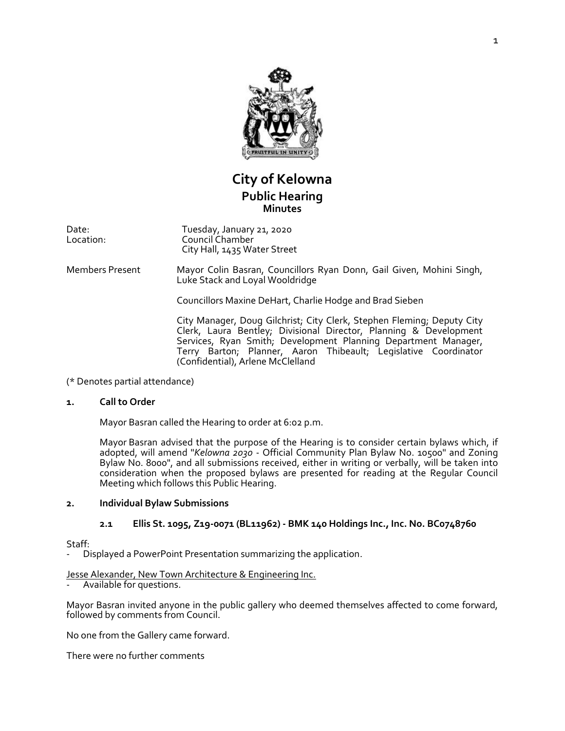

# **City of Kelowna Public Hearing Minutes**

Date: Location: Tuesday, January 21, 2020 Council Chamber City Hall, 1435 Water Street

Members Present Mayor Colin Basran, Councillors Ryan Donn, Gail Given, Mohini Singh, Luke Stack and Loyal Wooldridge

Councillors Maxine DeHart, Charlie Hodge and Brad Sieben

City Manager, Doug Gilchrist; City Clerk, Stephen Fleming; Deputy City Clerk, Laura Bentley; Divisional Director, Planning & Development Services, Ryan Smith; Development Planning Department Manager, Terry Barton; Planner, Aaron Thibeault; Legislative Coordinator (Confidential), Arlene McClelland

(\* Denotes partial attendance)

### **1. Call to Order**

Mayor Basran called the Hearing to order at 6:02 p.m.

Mayor Basran advised that the purpose of the Hearing is to consider certain bylaws which, if adopted, will amend "*Kelowna 2030* - Official Community Plan Bylaw No. 10500" and Zoning Bylaw No. 8000", and all submissions received, either in writing or verbally, will be taken into consideration when the proposed bylaws are presented for reading at the Regular Council Meeting which follows this Public Hearing.

### **2. Individual Bylaw Submissions**

## **2.1 Ellis St. 1095, Z19-0071 (BL11962) - BMK 140 Holdings Inc., Inc. No. BC0748760**

Staff:

- Displayed a PowerPoint Presentation summarizing the application.

### Jesse Alexander, New Town Architecture & Engineering Inc.

- Available for questions.

Mayor Basran invited anyone in the public gallery who deemed themselves affected to come forward, followed by comments from Council.

No one from the Gallery came forward.

There were no further comments